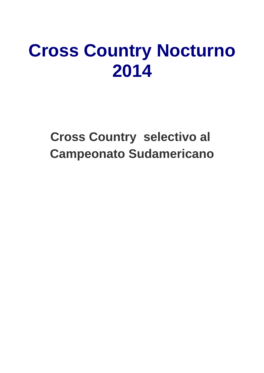## **[Cross Country Nocturno](http://www.atlecau.org.uy/index.php?option=com_content&view=article&id=342:cross-country-nocturno-2014&catid=81:cross-country) [2014](http://www.atlecau.org.uy/index.php?option=com_content&view=article&id=342:cross-country-nocturno-2014&catid=81:cross-country)**

#### **Cross Country selectivo al Campeonato Sudamericano**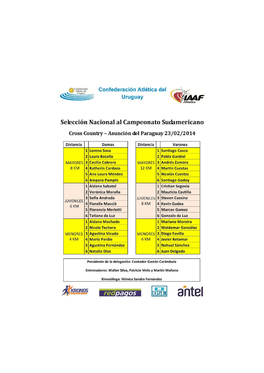

#### Selección Nacional al Campeonato Sudamericano

| <b>Distancia</b> |                | Damas                     |                          | <b>Distancia</b> |                | <b>Varones</b>           |
|------------------|----------------|---------------------------|--------------------------|------------------|----------------|--------------------------|
|                  | 1              | <b>Lorena Sosa</b>        |                          |                  | $\overline{1}$ | <b>Santiago Casco</b>    |
|                  |                | 2 Laura Bazallo           | 2 <sup>1</sup>           |                  |                | <b>Pablo Gardiol</b>     |
| <b>MAYORES</b>   | 3 <sup>1</sup> | <b>Cecilia Cabrera</b>    |                          | <b>MAYORES</b>   |                | <b>3 Andrés Zamora</b>   |
| 8 KM             |                | 4 Katherin Cardozo        |                          | <b>12 KM</b>     |                | 4 Martín Cuestas         |
|                  | 51             | <b>Ana Laura Méndez</b>   |                          |                  |                | 5 Nicolás Cuestas        |
|                  | 6              | <b>Amparo Pampín</b>      |                          |                  | 6 <sup>1</sup> | <b>Santiago Godoy</b>    |
|                  | 1              | <b>Aldana Sabatel</b>     |                          |                  | $\mathbf{1}$   | <b>Cristian Segovia</b>  |
|                  |                | <b>Verónica Moraña</b>    |                          | 2 <sub>1</sub>   |                | <b>Mauricio Castillo</b> |
| <b>JUVENILES</b> |                | 3 Sofía Andrada           | <b>JUVENILES</b><br>8 KM |                  |                | <b>3 Steven Cassina</b>  |
| 6 KM             |                | 4 Fiorella Macció         |                          |                  |                | 4 Kevin Gadea            |
|                  |                | 5 Florencia Merletti      |                          |                  |                | <b>5 Marcos Gomez</b>    |
|                  |                | 6 Tatiana da Luz          |                          |                  | 6 <sup>1</sup> | Gonzalo da Luz           |
|                  | 1 <sup>1</sup> | <b>Aldana Machado</b>     |                          |                  | $1\vert$       | <b>Mariano Moreira</b>   |
|                  | $\overline{2}$ | Nicole Techera            |                          |                  |                | 2 Waldemar González      |
| <b>MENORES</b>   | 3 <sup>1</sup> | <b>Agostina Vicudo</b>    |                          | <b>MENORES</b>   | 3              | <b>Diego Favilla</b>     |
| 4 KM             |                | 4 María Pardie            |                          | 6 KM             |                | 4 Javier Retamar         |
|                  | 5              | <b>Agustina Fernández</b> |                          |                  |                | 5 Nahuel Sánchez         |
|                  |                | 6 Natalia Díaz            |                          |                  |                | 6 Juan Delgado           |

Cross Country - Asunción del Paraguay 23/02/2014

Presidente de la delegación: Contador Gastón Carámbula

Entrenadores: Walter Silva, Patricio Melo y Martín Mañana

Kinesióloga: Mónica Sandra Fernández







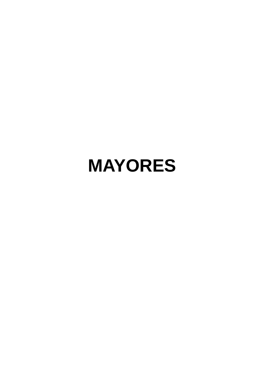### **MAYORES**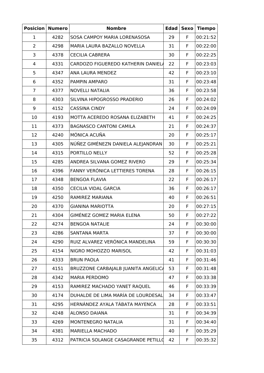| <b>Posicion</b> | <b>Numero</b> | <b>Nombre</b>                       | <b>Edad</b> | <b>Sexo</b> | <b>Tiempo</b> |
|-----------------|---------------|-------------------------------------|-------------|-------------|---------------|
| 1               | 4282          | SOSA CAMPOY MARIA LORENASOSA        | 29          | F           | 00:21:52      |
| 2               | 4298          | MARIA LAURA BAZALLO NOVELLA         | 31          | F.          | 00:22:00      |
| 3               | 4378          | <b>CECILIA CABRERA</b>              | 30          | F           | 00:22:25      |
| 4               | 4331          | CARDOZO FIGUEREDO KATHERIN DANIELA  | 22          | F           | 00:23:03      |
| 5               | 4347          | ANA LAURA MENDEZ                    | 42          | F           | 00:23:10      |
| 6               | 4352          | PAMPIN AMPARO                       | 31          | F           | 00:23:48      |
| 7               | 4377          | <b>NOVELLI NATALIA</b>              | 36          | F           | 00:23:58      |
| 8               | 4303          | SILVINA HIPOGROSSO PRADERIO         | 26          | F           | 00:24:02      |
| 9               | 4152          | <b>CASSINA CINDY</b>                | 24          | F           | 00:24:09      |
| 10              | 4193          | MOTTA ACEREDO ROSANA ELIZABETH      | 41          | F           | 00:24:25      |
| 11              | 4373          | <b>BAGNASCO CANTONI CAMILA</b>      | 21          | F.          | 00:24:37      |
| 12              | 4240          | MÓNICA ACUÑA                        | 20          | F           | 00:25:17      |
| 13              | 4305          | NÚÑEZ GIMÉNEZN DANIELA ALEJANDRAN   | 30          | F           | 00:25:21      |
| 14              | 4315          | PORTILLO NELLY                      | 52          | F           | 00:25:28      |
| 15              | 4285          | ANDREA SILVANA GOMEZ RIVERO         | 29          | F           | 00:25:34      |
| 16              | 4396          | FANNY VERÓNICA LETTIERES TORENA     | 28          | F           | 00:26:15      |
| 17              | 4348          | <b>BENGOA FLAVIA</b>                | 22          | F           | 00:26:17      |
| 18              | 4350          | <b>CECILIA VIDAL GARCIA</b>         | 36          | F           | 00:26:17      |
| 19              | 4250          | RAMIREZ MARIANA                     | 40          | F           | 00:26:51      |
| 20              | 4370          | <b>GIANINA MARIOTTA</b>             | 20          | F           | 00:27:15      |
| 21              | 4304          | GIMÉNEZ GOMEZ MARIA ELENA           | 50          | F.          | 00:27:22      |
| 22              | 4274          | <b>BENGOA NATALIE</b>               | 24          | F           | 00:30:00      |
| 23              | 4286          | <b>SANTANA MARTA</b>                | 37          | F           | 00:30:00      |
| 24              | 4290          | RUIZ ALVAREZ VERÓNICA MANDELINA     | 59          | F           | 00:30:30      |
| 25              | 4154          | NIGRO MOHOZZO MARISOL               | 42          | F.          | 00:31:03      |
| 26              | 4333          | <b>BRUN PAOLA</b>                   | 41          | F           | 00:31:46      |
| 27              | 4151          | BRUZZONE CARBAJALB JUANITA ANGELICA | 53          | F           | 00:31:48      |
| 28              | 4342          | <b>MARIA PERDOMO</b>                | 47          | F           | 00:33:38      |
| 29              | 4153          | RAMIREZ MACHADO YANET RAQUEL        | 46          | F           | 00:33:39      |
| 30              | 4174          | DUHALDE DE LIMA MARÍA DE LOURDESAL  | 34          | F.          | 00:33:47      |
| 31              | 4295          | HERNÁNDEZ AYALA TÁBATA MAYENCA      | 28          | F           | 00:33:51      |
| 32              | 4248          | ALONSO DAIANA                       | 31          | F           | 00:34:39      |
| 33              | 4269          | MONTENEGRO NATALIA                  | 31          | F.          | 00:34:40      |
| 34              | 4381          | MARIELLA MACHADO                    | 40          | F           | 00:35:29      |
| 35              | 4312          | PATRICIA SOLANGE CASAGRANDE PETILLO | 42          | F.          | 00:35:32      |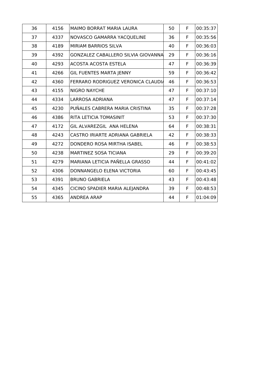| 36 | 4156 | <b>MAIMO BORRAT MARIA LAURA</b>           | 50 | F | 00:35:37 |
|----|------|-------------------------------------------|----|---|----------|
| 37 | 4337 | NOVASCO GAMARRA YACQUELINE                | 36 | F | 00:35:56 |
| 38 | 4189 | MIRIAM BARRIOS SILVA                      | 40 | F | 00:36:03 |
| 39 | 4392 | <b>GONZALEZ CABALLERO SILVIA GIOVANNA</b> | 29 | F | 00:36:16 |
| 40 | 4293 | ACOSTA ACOSTA ESTELA                      | 47 | F | 00:36:39 |
| 41 | 4266 | <b>GIL FUENTES MARTA JENNY</b>            | 59 | F | 00:36:42 |
| 42 | 4360 | FERRARO RODRIGUEZ VERONICA CLAUDIA        | 46 | F | 00:36:53 |
| 43 | 4155 | <b>NIGRO NAYCHE</b>                       | 47 | F | 00:37:10 |
| 44 | 4334 | LARROSA ADRIANA                           | 47 | F | 00:37:14 |
| 45 | 4230 | PUÑALES CABRERA MARIA CRISTINA            | 35 | F | 00:37:28 |
| 46 | 4386 | RITA LETICIA TOMASINIT                    | 53 | F | 00:37:30 |
| 47 | 4172 | GIL ALVAREZGIL ANA HELENA                 | 64 | F | 00:38:31 |
| 48 | 4243 | CASTRO IRIARTE ADRIANA GABRIELA           | 42 | F | 00:38:33 |
| 49 | 4272 | DONDERO ROSA MIRTHA ISABEL                | 46 | F | 00:38:53 |
| 50 | 4238 | MARTINEZ SOSA TICIANA                     | 29 | F | 00:39:20 |
| 51 | 4279 | MARIANA LETICIA PAÑELLA GRASSO            | 44 | F | 00:41:02 |
| 52 | 4306 | DONNANGELO ELENA VICTORIA                 | 60 | F | 00:43:45 |
| 53 | 4391 | <b>BRUNO GABRIELA</b>                     | 43 | F | 00:43:48 |
| 54 | 4345 | CICINO SPADIER MARIA ALEJANDRA            | 39 | F | 00:48:53 |
| 55 | 4365 | <b>ANDREA ARAP</b>                        | 44 | F | 01:04:09 |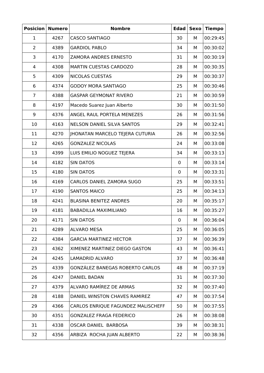| <b>Posicion</b> | <b>Numero</b> | <b>Nombre</b>                      | <b>Edad</b> | <b>Sexo</b> | <b>Tiempo</b> |
|-----------------|---------------|------------------------------------|-------------|-------------|---------------|
| $\mathbf 1$     | 4267          | <b>CASCO SANTIAGO</b>              | 30          | М           | 00:29:45      |
| $\overline{2}$  | 4389          | <b>GARDIOL PABLO</b>               | 34          | М           | 00:30:02      |
| 3               | 4170          | <b>ZAMORA ANDRES ERNESTO</b>       | 31          | М           | 00:30:19      |
| 4               | 4308          | <b>MARTIN CUESTAS CARDOZO</b>      | 28          | М           | 00:30:35      |
| 5               | 4309          | NICOLAS CUESTAS                    | 29          | М           | 00:30:37      |
| 6               | 4374          | <b>GODOY MORA SANTIAGO</b>         | 25          | М           | 00:30:46      |
| $\overline{7}$  | 4388          | <b>GASPAR GEYMONAT RIVERO</b>      | 21          | М           | 00:30:59      |
| 8               | 4197          | Macedo Suarez Juan Alberto         | 30          | М           | 00:31:50      |
| 9               | 4376          | ANGEL RAUL PORTELA MENEZES         | 26          | М           | 00:31:56      |
| 10              | 4163          | NELSON DANIEL SILVA SANTOS         | 29          | М           | 00:32:41      |
| 11              | 4270          | JHONATAN MARCELO TEJERA CUTURIA    | 26          | М           | 00:32:56      |
| 12              | 4265          | <b>GONZALEZ NICOLAS</b>            | 24          | М           | 00:33:08      |
| 13              | 4399          | LUIS EMILIO NOGUEZ TEJERA          | 34          | М           | 00:33:13      |
| 14              | 4182          | <b>SIN DATOS</b>                   | $\mathbf 0$ | М           | 00:33:14      |
| 15              | 4180          | <b>SIN DATOS</b>                   | $\mathbf 0$ | М           | 00:33:31      |
| 16              | 4169          | CARLOS DANIEL ZAMORA SUGO          | 25          | М           | 00:33:51      |
| 17              | 4190          | <b>SANTOS MAICO</b>                | 25          | М           | 00:34:13      |
| 18              | 4241          | <b>BLASINA BENITEZ ANDRES</b>      | 20          | М           | 00:35:17      |
| 19              | 4181          | <b>BABADILLA MAXIMILIANO</b>       | 16          | М           | 00:35:27      |
| 20              | 4171          | <b>SIN DATOS</b>                   | $\pmb{0}$   | М           | 00:36:04      |
| 21              | 4289          | <b>ALVARO MESA</b>                 | 25          | М           | 00:36:05      |
| 22              | 4384          | <b>GARCIA MARTINEZ HECTOR</b>      | 37          | М           | 00:36:39      |
| 23              | 4362          | XIMENEZ MARTINEZ DIEGO GASTON      | 43          | М           | 00:36:41      |
| 24              | 4245          | <b>LAMADRID ALVARO</b>             | 37          | М           | 00:36:48      |
| 25              | 4339          | GONZÁLEZ BANEGAS ROBERTO CARLOS    | 48          | М           | 00:37:19      |
| 26              | 4247          | <b>DANIEL BADAN</b>                | 31          | М           | 00:37:30      |
| 27              | 4379          | ALVARO RAMÍREZ DE ARMAS            | 32          | М           | 00:37:40      |
| 28              | 4188          | DANIEL WINSTON CHAVES RAMIREZ      | 47          | М           | 00:37:54      |
| 29              | 4366          | CARLOS ENRIQUE FAGUNDEZ MALISCHEFF | 50          | М           | 00:37:55      |
| 30              | 4351          | <b>GONZALEZ FRAGA FEDERICO</b>     | 26          | М           | 00:38:08      |
| 31              | 4338          | OSCAR DANIEL BARBOSA               | 39          | М           | 00:38:31      |
| 32              | 4356          | ARBIZA ROCHA JUAN ALBERTO          | 22          | М           | 00:38:36      |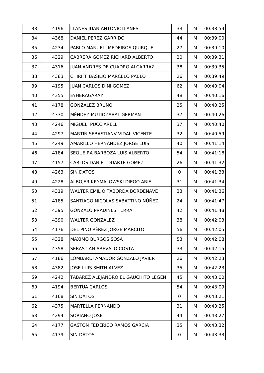| 33 | 4196 | LLANES JUAN ANTONIOLLANES              | 33          | М | 00:38:59 |
|----|------|----------------------------------------|-------------|---|----------|
| 34 | 4368 | DANIEL PEREZ GARRIDO                   | 44          | М | 00:39:00 |
| 35 | 4234 | PABLO MANUEL MEDEIROS QUIRQUE          | 27          | М | 00:39:10 |
| 36 | 4329 | CABRERA GÓMEZ RICHARD ALBERTO          | 20          | М | 00:39:31 |
| 37 | 4316 | JUAN ANDRES DE CUADRO ALCARRAZ         | 38          | М | 00:39:35 |
| 38 | 4383 | CHIRIFF BASILIO MARCELO PABLO          | 26          | М | 00:39:49 |
| 39 | 4195 | <b>JUAN CARLOS DINI GOMEZ</b>          | 62          | М | 00:40:04 |
| 40 | 4355 | EYHERAGARAY                            | 48          | М | 00:40:16 |
| 41 | 4178 | <b>GONZALEZ BRUNO</b>                  | 25          | М | 00:40:25 |
| 42 | 4330 | MÉNDEZ MUTIOZÁBAL GERMAN               | 37          | М | 00:40:26 |
| 43 | 4246 | MIGUEL PUCCIARELLI                     | 37          | М | 00:40:40 |
| 44 | 4297 | MARTIN SEBASTIANV VIDAL VICENTE        | 32          | М | 00:40:59 |
| 45 | 4249 | AMARILLO HERNÁNDEZ JORGE LUIS          | 40          | М | 00:41:14 |
| 46 | 4184 | SEQUEIRA BARBOZA LUIS ALBERTO          | 54          | М | 00:41:18 |
| 47 | 4157 | CARLOS DANIEL DUARTE GOMEZ             | 26          | М | 00:41:32 |
| 48 | 4263 | <b>SIN DATOS</b>                       | $\mathbf 0$ | М | 00:41:33 |
| 49 | 4228 | ALBOJER KRYMALOWSKI DIEGO ARIEL        | 31          | М | 00:41:34 |
| 50 | 4319 | <b>WALTER EMILIO TABORDA BORDENAVE</b> | 33          | М | 00:41:36 |
| 51 | 4185 | SANTIAGO NICOLAS SABATTINO NÙÑEZ       | 24          | М | 00:41:47 |
| 52 | 4395 | <b>GONZALO PRADINES TERRA</b>          | 42          | М | 00:41:48 |
| 53 | 4390 | <b>WALTER GONZALEZ</b>                 | 38          | М | 00:42:03 |
| 54 | 4176 | DEL PINO PÉREZ JORGE MARCITO           | 56          | М | 00:42:05 |
| 55 | 4328 | <b>MAXIMO BURGOS SOSA</b>              | 53          | М | 00:42:08 |
| 56 | 4358 | SEBASTIAN AREVALO COSTA                | 33          | М | 00:42:15 |
| 57 | 4186 | LOMBARDI AMADOR GONZALO JAVIER         | 26          | М | 00:42:23 |
| 58 | 4382 | JOSE LUIS SMITH ALVEZ                  | 35          | М | 00:42:23 |
| 59 | 4242 | TABAREZ ALEJANDRO EL GAUCHITO LEGEN    | 45          | М | 00:43:00 |
| 60 | 4194 | <b>BERTUA CARLOS</b>                   | 54          | М | 00:43:09 |
| 61 | 4168 | <b>SIN DATOS</b>                       | $\mathbf 0$ | М | 00:43:21 |
| 62 | 4375 | MARTELLA FERNANDO                      | 31          | М | 00:43:25 |
| 63 | 4294 | SORIANO JOSE                           | 44          | М | 00:43:27 |
| 64 | 4177 | <b>GASTON FEDERICO RAMOS GARCIA</b>    | 35          | М | 00:43:32 |
| 65 | 4179 | <b>SIN DATOS</b>                       | $\mathbf 0$ | М | 00:43:33 |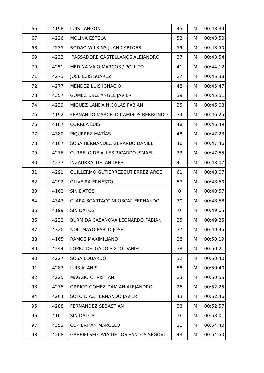| 66 | 4198 | <b>LUIS LANGON</b>                     | 45          | М | 00:43:39 |
|----|------|----------------------------------------|-------------|---|----------|
| 67 | 4226 | MOLINA ESTELA                          | 52          | М | 00:43:50 |
| 68 | 4235 | RODAO WILKINS JUAN CARLOSR             | 59          | М | 00:43:50 |
| 69 | 4233 | PASSADORE CASTELLANOS ALEJANDRO        | 37          | М | 00:43:54 |
| 70 | 4251 | MEDINA VAIO MARCOS / POLLITO           | 41          | М | 00:44:12 |
| 71 | 4273 | <b>JOSE LUIS SUAREZ</b>                | 27          | М | 00:45:38 |
| 72 | 4277 | MÉNDEZ LUIS IGNACIO                    | 48          | М | 00:45:47 |
| 73 | 4357 | <b>GOMEZ DIAZ ANGEL JAVIER</b>         | 39          | М | 00:45:51 |
| 74 | 4239 | MIGUEZ LANDA NICOLAS FABIAN            | 35          | М | 00:46:08 |
| 75 | 4192 | FERNANDO MARCELO CAMINOS BERRONDO      | 34          | М | 00:46:25 |
| 76 | 4187 | <b>CORREA LUIS</b>                     | 48          | М | 00:46:49 |
| 77 | 4380 | PIQUEREZ MATÍAS                        | 48          | М | 00:47:23 |
| 78 | 4167 | SOSA HERNÁNDEZ GERARDO DANIEL          | 46          | М | 00:47:46 |
| 79 | 4276 | <b>CURBELO DE ALLES RICARDO ISMAEL</b> | 33          | М | 00:47:55 |
| 80 | 4237 | INZAURRALDE ANDRES                     | 41          | М | 00:48:07 |
| 81 | 4291 | GUILLERMO GUTIERREZGUTIERREZ ARCE      | 61          | М | 00:48:07 |
| 82 | 4292 | <b>OLIVEIRA ERNESTO</b>                | 57          | М | 00:48:50 |
| 83 | 4162 | <b>SIN DATOS</b>                       | $\pmb{0}$   | М | 00:48:57 |
| 84 | 4343 | CLARA SCARTACCINI OSCAR FERNANDO       | 30          | М | 00:48:58 |
| 85 | 4199 | <b>SIN DATOS</b>                       | $\mathbf 0$ | М | 00:49:05 |
| 86 | 4232 | BURMIDA CASANOVA LEONARDO FABIAN       | 25          | М | 00:49:25 |
| 87 | 4320 | <b>NOLI MAYO PABLO JOSE</b>            | 37          | М | 00:49:45 |
| 88 | 4165 | RAMOS MAXIMILIANO                      | 28          | М | 00:50:19 |
| 89 | 4244 | LOPEZ DELGADO SIXTO DANIEL             | 38          | М | 00:50:21 |
| 90 | 4227 | <b>SOSA EDUARDO</b>                    | 32          | М | 00:50:40 |
| 91 | 4283 | <b>LUIS ALANIS</b>                     | 58          | М | 00:50:40 |
| 92 | 4225 | <b>MAGGIO CHRISTIAN</b>                | 23          | М | 00:50:55 |
| 93 | 4275 | ORRICO GOMEZ DAMIAN ALEJANDRO          | 26          | М | 00:52:25 |
| 94 | 4264 | SOTO DIAZ FERNANDO JAVIER              | 43          | М | 00:52:46 |
| 95 | 4288 | FERNANDEZ SEBASTIAN                    | 33          | М | 00:52:57 |
| 96 | 4161 | <b>SIN DATOS</b>                       | $\mathbf 0$ | М | 00:53:01 |
| 97 | 4353 | <b>CUKIERMAN MARCELO</b>               | 31          | М | 00:54:40 |
| 98 | 4268 | GABRIELSEGOVIA DE LOS SANTOS SEGOVI    | 43          | М | 00:54:50 |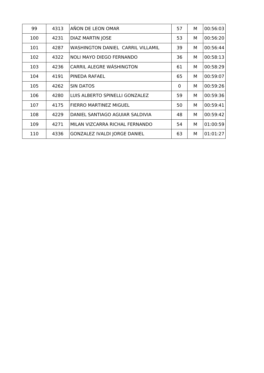| 99  | 4313 | AÑON DE LEON OMAR                        | 57          | M | 00:56:03 |
|-----|------|------------------------------------------|-------------|---|----------|
| 100 | 4231 | <b>DIAZ MARTIN JOSE</b>                  | 53          | М | 00:56:20 |
| 101 | 4287 | <b>WASHINGTON DANIEL CARRIL VILLAMIL</b> | 39          | М | 00:56:44 |
| 102 | 4322 | <b>NOLI MAYO DIEGO FERNANDO</b>          | 36          | М | 00:58:13 |
| 103 | 4236 | CARRIL ALEGRE WÁSHINGTON                 | 61          | М | 00:58:29 |
| 104 | 4191 | PINEDA RAFAEL                            | 65          | М | 00:59:07 |
| 105 | 4262 | <b>SIN DATOS</b>                         | $\mathbf 0$ | М | 00:59:26 |
| 106 | 4280 | LUIS ALBERTO SPINELLI GONZALEZ           | 59          | M | 00:59:36 |
| 107 | 4175 | FIERRO MARTINEZ MIGUEL                   | 50          | M | 00:59:41 |
| 108 | 4229 | DANIEL SANTIAGO AGUIAR SALDIVIA          | 48          | M | 00:59:42 |
| 109 | 4271 | MILAN VIZCARRA RICHAL FERNANDO           | 54          | M | 01:00:59 |
| 110 | 4336 | GONZALEZ IVALDI JORGE DANIEL             | 63          | M | 01:01:27 |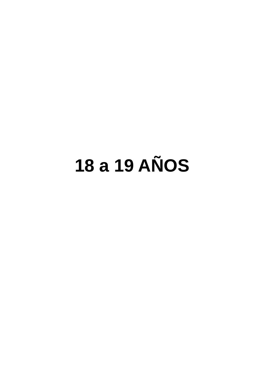## **18 a 19 AÑOS**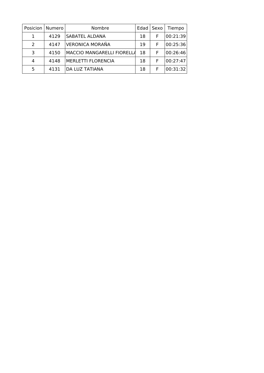| Posicion      | Numero | Nombre                     | Edad <sup>1</sup> | Sexo | Tiempo   |
|---------------|--------|----------------------------|-------------------|------|----------|
|               | 4129   | SABATEL ALDANA             | 18                | F    | 00:21:39 |
| $\mathcal{L}$ | 4147   | VERONICA MORAÑA            | 19                | F    | 00:25:36 |
| 3             | 4150   | MACCIO MANGARELLI FIORELLA | 18                | F    | 00:26:46 |
| 4             | 4148   | <b>MERLETTI FLORENCIA</b>  | 18                | F    | 00:27:47 |
| 5             | 4131   | DA LUZ TATIANA             | 18                |      | 00:31:32 |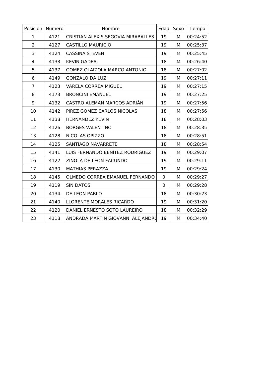| Posicion       | Numero | Nombre                             | Edad        | Sexo | Tiempo   |
|----------------|--------|------------------------------------|-------------|------|----------|
| $\mathbf 1$    | 4121   | CRISTIAN ALEXIS SEGOVIA MIRABALLES | 19          | М    | 00:24:52 |
| $\overline{2}$ | 4127   | <b>CASTILLO MAURICIO</b>           | 19          | М    | 00:25:37 |
| 3              | 4124   | <b>CASSINA STEVEN</b>              | 19          | М    | 00:25:45 |
| 4              | 4133   | <b>KEVIN GADEA</b>                 | 18          | M    | 00:26:40 |
| 5              | 4137   | GOMEZ OLAIZOLA MARCO ANTONIO       | 18          | M    | 00:27:02 |
| 6              | 4149   | <b>GONZALO DA LUZ</b>              | 19          | M    | 00:27:11 |
| $\overline{7}$ | 4123   | <b>VARELA CORREA MIGUEL</b>        | 19          | M    | 00:27:15 |
| 8              | 4173   | <b>BRONCINI EMANUEL</b>            | 19          | М    | 00:27:25 |
| 9              | 4132   | CASTRO ALEMÀN MARCOS ADRIÀN        | 19          | М    | 00:27:56 |
| 10             | 4142   | PIREZ GOMEZ CARLOS NICOLAS         | 18          | М    | 00:27:56 |
| 11             | 4138   | <b>HERNANDEZ KEVIN</b>             | 18          | М    | 00:28:03 |
| 12             | 4126   | <b>BORGES VALENTINO</b>            | 18          | М    | 00:28:35 |
| 13             | 4128   | NICOLAS OPIZZO                     | 18          | М    | 00:28:51 |
| 14             | 4125   | SANTIAGO NAVARRETE                 | 18          | M    | 00:28:54 |
| 15             | 4141   | LUIS FERNANDO BENÍTEZ RODRÍGUEZ    | 19          | M    | 00:29:07 |
| 16             | 4122   | ZINOLA DE LEON FACUNDO             | 19          | М    | 00:29:11 |
| 17             | 4130   | <b>MATHIAS PERAZZA</b>             | 19          | М    | 00:29:24 |
| 18             | 4145   | OLMEDO CORREA EMANUEL FERNANDO     | $\mathbf 0$ | М    | 00:29:27 |
| 19             | 4119   | <b>SIN DATOS</b>                   | $\mathbf 0$ | М    | 00:29:28 |
| 20             | 4134   | DE LEON PABLO                      | 18          | М    | 00:30:23 |
| 21             | 4140   | LLORENTE MORALES RICARDO           | 19          | М    | 00:31:20 |
| 22             | 4120   | DANIEL ERNESTO SOTO LAUREIRO       | 18          | M    | 00:32:29 |
| 23             | 4118   | ANDRADA MARTÍN GIOVANNI ALEJANDRO  | 19          | М    | 00:34:40 |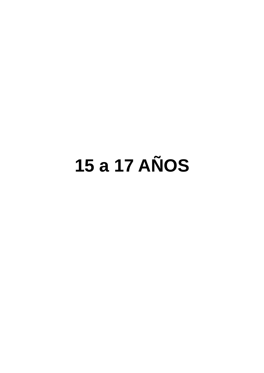## **15 a 17 AÑOS**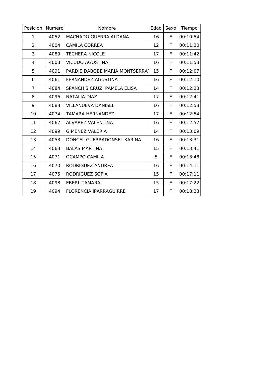| Posicion       | Numero | Nombre                         | Edad | Sexo | Tiempo   |
|----------------|--------|--------------------------------|------|------|----------|
| 1              | 4052   | MACHADO GUERRA ALDANA          | 16   | F    | 00:10:54 |
| $\overline{2}$ | 4004   | <b>CAMILA CORREA</b>           | 12   | F    | 00:11:20 |
| 3              | 4089   | <b>TECHERA NICOLE</b>          | 17   | F    | 00:11:42 |
| 4              | 4003   | <b>VICUDO AGOSTINA</b>         | 16   | F    | 00:11:53 |
| 5              | 4091   | PARDIE DABOBE MARIA MONTSERRAT | 15   | F    | 00:12:07 |
| 6              | 4061   | FERNANDEZ AGUSTINA             | 16   | F    | 00:12:10 |
| $\overline{7}$ | 4084   | SPANCHIS CRUZ PAMELA ELISA     | 14   | F    | 00:12:23 |
| 8              | 4096   | <b>NATALIA DIAZ</b>            | 17   | F    | 00:12:41 |
| 9              | 4083   | <b>VILLANUEVA DANISEL</b>      | 16   | F    | 00:12:53 |
| 10             | 4074   | <b>TAMARA HERNANDEZ</b>        | 17   | F    | 00:12:54 |
| 11             | 4067   | ALVAREZ VALENTINA              | 16   | F    | 00:12:57 |
| 12             | 4099   | <b>GIMENEZ VALERIA</b>         | 14   | F    | 00:13:09 |
| 13             | 4053   | DONCEL GUERRADONSEL KARINA     | 16   | F    | 00:13:31 |
| 14             | 4063   | <b>BALAS MARTINA</b>           | 15   | F    | 00:13:41 |
| 15             | 4071   | <b>OCAMPO CAMILA</b>           | 5    | F    | 00:13:48 |
| 16             | 4070   | RODRIGUEZ ANDREA               | 16   | F    | 00:14:11 |
| 17             | 4075   | RODRIGUEZ SOFIA                | 15   | F    | 00:17:11 |
| 18             | 4098   | <b>EBERL TAMARA</b>            | 15   | F    | 00:17:22 |
| 19             | 4094   | <b>FLORENCIA IPARRAGUIRRE</b>  | 17   | F    | 00:18:23 |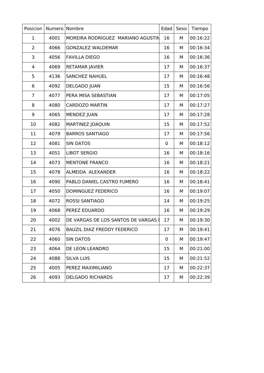| Posicion       | Numero | Nombre                              | Edad        | Sexo | Tiempo   |
|----------------|--------|-------------------------------------|-------------|------|----------|
| $\mathbf 1$    | 4001   | MOREIRA RODRIGUEZ MARIANO AGUSTIN   | 16          | М    | 00:16:22 |
| $\overline{2}$ | 4066   | <b>GONZALEZ WALDEMAR</b>            | 16          | М    | 00:16:34 |
| 3              | 4056   | <b>FAVILLA DIEGO</b>                | 16          | М    | 00:16:36 |
| 4              | 4069   | RETAMAR JAVIER                      | 17          | М    | 00:16:37 |
| 5              | 4136   | <b>SANCHEZ NAHUEL</b>               | 17          | М    | 00:16:48 |
| 6              | 4092   | <b>DELGADO JUAN</b>                 | 15          | М    | 00:16:56 |
| $\overline{7}$ | 4077   | PERA MISA SEBASTIAN                 | 17          | М    | 00:17:05 |
| 8              | 4080   | <b>CARDOZO MARTIN</b>               | 17          | М    | 00:17:27 |
| 9              | 4065   | <b>MENDEZ JUAN</b>                  | 17          | М    | 00:17:28 |
| 10             | 4082   | <b>MARTINEZ JOAQUIN</b>             | 15          | М    | 00:17:52 |
| 11             | 4079   | <b>BARROS SANTIAGO</b>              | 17          | М    | 00:17:56 |
| 12             | 4081   | <b>SIN DATOS</b>                    | $\mathbf 0$ | М    | 00:18:12 |
| 13             | 4051   | <b>LIBOT SERGIO</b>                 | 16          | М    | 00:18:16 |
| 14             | 4073   | <b>MENTONE FRANCO</b>               | 16          | М    | 00:18:21 |
| 15             | 4078   | ALMEIDA ALEXANDER                   | 16          | М    | 00:18:22 |
| 16             | 4090   | PABLO DANIEL CASTRO FUMERO          | 16          | М    | 00:18:41 |
| 17             | 4050   | DOMINGUEZ FEDERICO                  | 16          | М    | 00:19:07 |
| 18             | 4072   | <b>ROSSI SANTIAGO</b>               | 14          | М    | 00:19:25 |
| 19             | 4068   | PEREZ EDUARDO                       | 16          | М    | 00:19:29 |
| 20             | 4002   | DE VARGAS DE LOS SANTOS DE VARGAS I | 17          | М    | 00:19:30 |
| 21             | 4076   | <b>BAUZIL DIAZ FREDDY FEDERICO</b>  | 17          | М    | 00:19:41 |
| 22             | 4060   | <b>SIN DATOS</b>                    | 0           | м    | 00:19:47 |
| 23             | 4064   | DE LEON LEANDRO                     | 15          | М    | 00:21:00 |
| 24             | 4088   | <b>SILVA LUIS</b>                   | 15          | м    | 00:21:52 |
| 25             | 4005   | PEREZ MAXIMILIANO                   | 17          | М    | 00:22:37 |
| 26             | 4093   | <b>DELGADO RICHARDS</b>             | 17          | М    | 00:22:39 |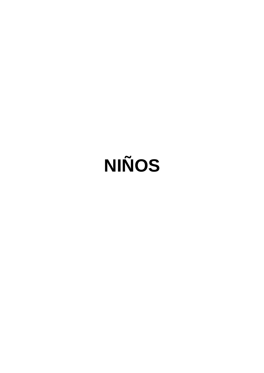# **NIÑOS**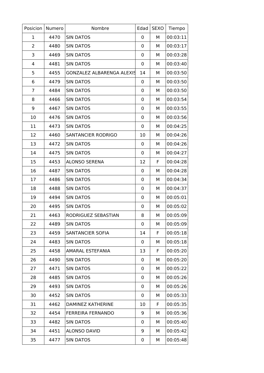| Posicion       | Numero | Nombre                           | Edad | <b>SEXO</b> | Tiempo   |
|----------------|--------|----------------------------------|------|-------------|----------|
| 1              | 4470   | <b>SIN DATOS</b>                 | 0    | М           | 00:03:11 |
| $\overline{2}$ | 4480   | <b>SIN DATOS</b>                 | 0    | М           | 00:03:17 |
| 3              | 4469   | <b>SIN DATOS</b>                 | 0    | M           | 00:03:28 |
| 4              | 4481   | <b>SIN DATOS</b>                 | 0    | М           | 00:03:40 |
| 5              | 4455   | <b>GONZALEZ ALBARENGA ALEXIS</b> | 14   | М           | 00:03:50 |
| 6              | 4479   | <b>SIN DATOS</b>                 | 0    | М           | 00:03:50 |
| $\overline{7}$ | 4484   | <b>SIN DATOS</b>                 | 0    | М           | 00:03:50 |
| 8              | 4466   | <b>SIN DATOS</b>                 | 0    | М           | 00:03:54 |
| 9              | 4467   | <b>SIN DATOS</b>                 | 0    | М           | 00:03:55 |
| 10             | 4476   | <b>SIN DATOS</b>                 | 0    | М           | 00:03:56 |
| 11             | 4473   | <b>SIN DATOS</b>                 | 0    | М           | 00:04:25 |
| 12             | 4460   | SANTANCIER RODRIGO               | 10   | М           | 00:04:26 |
| 13             | 4472   | <b>SIN DATOS</b>                 | 0    | М           | 00:04:26 |
| 14             | 4475   | <b>SIN DATOS</b>                 | 0    | М           | 00:04:27 |
| 15             | 4453   | <b>ALONSO SERENA</b>             | 12   | F           | 00:04:28 |
| 16             | 4487   | <b>SIN DATOS</b>                 | 0    | М           | 00:04:28 |
| 17             | 4486   | <b>SIN DATOS</b>                 | 0    | M           | 00:04:34 |
| 18             | 4488   | <b>SIN DATOS</b>                 | 0    | М           | 00:04:37 |
| 19             | 4494   | <b>SIN DATOS</b>                 | 0    | М           | 00:05:01 |
| 20             | 4495   | <b>SIN DATOS</b>                 | 0    | М           | 00:05:02 |
| 21             | 4463   | RODRIGUEZ SEBASTIAN              | 8    | М           | 00:05:09 |
| 22             | 4489   | <b>SIN DATOS</b>                 | 0    | М           | 00:05:09 |
| 23             | 4459   | SANTANCIER SOFIA                 | 14   | F           | 00:05:18 |
| 24             | 4483   | <b>SIN DATOS</b>                 | 0    | М           | 00:05:18 |
| 25             | 4458   | AMARAL ESTEFANIA                 | 13   | F           | 00:05:20 |
| 26             | 4490   | <b>SIN DATOS</b>                 | 0    | М           | 00:05:20 |
| 27             | 4471   | <b>SIN DATOS</b>                 | 0    | М           | 00:05:22 |
| 28             | 4485   | <b>SIN DATOS</b>                 | 0    | М           | 00:05:26 |
| 29             | 4493   | <b>SIN DATOS</b>                 | 0    | М           | 00:05:26 |
| 30             | 4452   | <b>SIN DATOS</b>                 | 0    | м           | 00:05:33 |
| 31             | 4462   | DAMINEZ KATHERINE                | 10   | F           | 00:05:35 |
| 32             | 4454   | <b>FERREIRA FERNANDO</b>         | 9    | М           | 00:05:36 |
| 33             | 4482   | <b>SIN DATOS</b>                 | 0    | М           | 00:05:40 |
| 34             | 4451   | <b>ALONSO DAVID</b>              | 9    | М           | 00:05:42 |
| 35             | 4477   | <b>SIN DATOS</b>                 | 0    | М           | 00:05:48 |